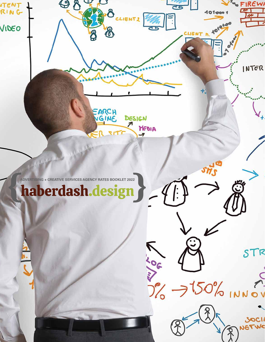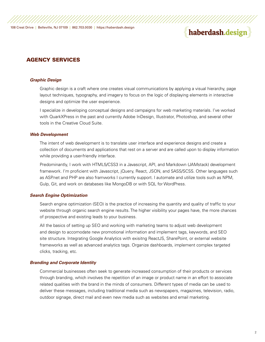# haberdash.design

# AGENCY SERVICES

#### *Graphic Design*

 Graphic design is a craft where one creates visual communications by applying a visual hierarchy, page layout techniques, typography, and imagery to focus on the logic of displaying elements in interactive designs and optimize the user experience.

 I specialize in developing conceptual designs and campaigns for web marketing materials. I've worked with QuarkXPress in the past and currently Adobe InDesign, Illustrator, Photoshop, and several other tools in the Creative Cloud Suite.

#### *Web Development*

 The intent of web development is to translate user interface and experience designs and create a collection of documents and applications that rest on a server and are called upon to display information while providing a user-friendly interface.

 Predominantly, I work with HTML5/CSS3 in a Javascript, API, and Markdown (JAMstack) development framework. I'm proficient with Javascript, jQuery, React, JSON, and SASS/SCSS. Other languages such as ASP.net and PHP are also framworks I currently support. I automate and utilize tools such as NPM, Gulp, Git, and work on databases like MongoDB or with SQL for WordPress.

## *Search Engine Optimization*

Search engine optimization (SEO) is the practice of increasing the quantity and quality of traffic to your website through organic search engine results. The higher visibility your pages have, the more chances of prospective and existing leads to your business.

 All the basics of setting up SEO and working with marketing teams to adjust web development and design to accomodate new promotional information and implement tags, keywords, and SEO site structure. Integrating Google Analytics with exisitng ReactJS, SharePoint, or external website frameworks as well as advanced analytics tags. Organize dashboards, implement complex targeted clicks, tracking, etc.

#### *Branding and Corporate Identity*

 Commercial businesses often seek to generate increased consumption of their products or services through branding, which involves the repetition of an image or product name in an effort to associate related qualities with the brand in the minds of consumers. Different types of media can be used to deliver these messages, including traditional media such as newspapers, magazines, television, radio, outdoor signage, direct mail and even new media such as websites and email marketing.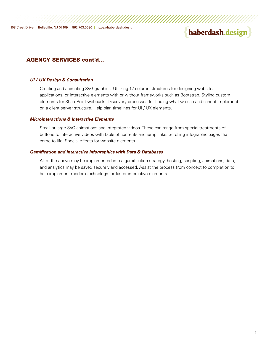# haberdash.design

# AGENCY SERVICES cont'd...

### *UI / UX Design & Consultation*

 Creating and animating SVG graphics. Utilizing 12-column structures for designing websites, applications, or interactive elements with or without frameworks such as Bootstrap. Styling custom elements for SharePoint webparts. Discovery processes for finding what we can and cannot implement on a client server structure. Help plan timelines for UI / UX elements.

## *Microinteractions & Interactive Elements*

 Small or large SVG animations and integrated videos. These can range from special treatments of buttons to interactive videos with table of contents and jump links. Scrolling infographic pages that come to life. Special effects for website elements.

### *Gamification and Interactive Infographics with Data & Databases*

 All of the above may be implemented into a gamification strategy, hosting, scripting, animations, data, and analytics may be saved securely and accessed. Assist the process from concept to completion to help implement modern technology for faster interactive elements.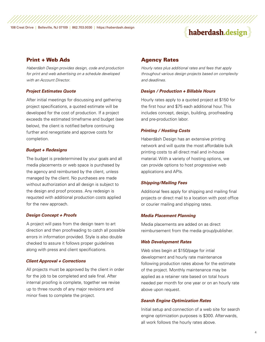# haberdash.design

# Print + Web Ads

*Haberdäsh Design provides design, code and production for print and web advertising on a schedule developed with an Account Director.*

## *Project Estimates Quote*

After initial meetings for discussing and gathering project specifications, a quoted estimate will be developed for the cost of production. If a project exceeds the estimated timeframe and budget (see below), the client is notified before continuing further and renegotiate and approve costs for completion.

#### *Budget + Redesigns*

The budget is predetermined by your goals and all media placements or web space is purchased by the agency and reimbursed by the client, unless managed by the client. No purchases are made without authorization and all design is subject to the design and proof process. Any redesign is requoted with additional production costs applied for the new approach.

## *Design Concept + Proofs*

A project will pass from the design team to art direction and then proofreading to catch all possible errors in information provided. Style is also double checked to assure it follows proper guidelines along with press and client specifications.

#### *Client Approval + Corrections*

All projects must be approved by the client in order for the job to be completed and sale final. After internal proofing is complete, together we revise up to three rounds of any major revisions and minor fixes to complete the project.

## Agency Rates

*Hourly rates plus additional rates and fees that apply throughout various design projects based on complexity and deadlines.*

#### *Design / Production + Billable Hours*

Hourly rates apply to a quoted project at \$150 for the first hour and \$75 each additional hour. This includes concept, design, building, proofreading and pre-production labor.

#### *Printing / Hosting Costs*

Haberdäsh Design has an extensive printing network and will quote the most affordable bulk printing costs to all direct mail and in-house material. With a variety of hosting options, we can provide options to host progressive web applications and APIs.

## *Shipping/Mailing Fees*

Additional fees apply for shipping and mailing final projects or direct mail to a location with post office or courier mailing and shipping rates.

#### *Media Placement Planning*

Media placements are added on as direct reimbursement from the media group/publisher.

## *Web Development Rates*

Web sites begin at \$150/page for intial development and hourly rate maintenance following production rates above for the estimate of the project. Monthly maintenance may be applied as a retainer rate based on total hours needed per month for one year or on an hourly rate above upon request.

#### *Search Engine Optimization Rates*

Initial setup and connection of a web site for search engine optimization purposes is \$300. Afterwards, all work follows the hourly rates above.